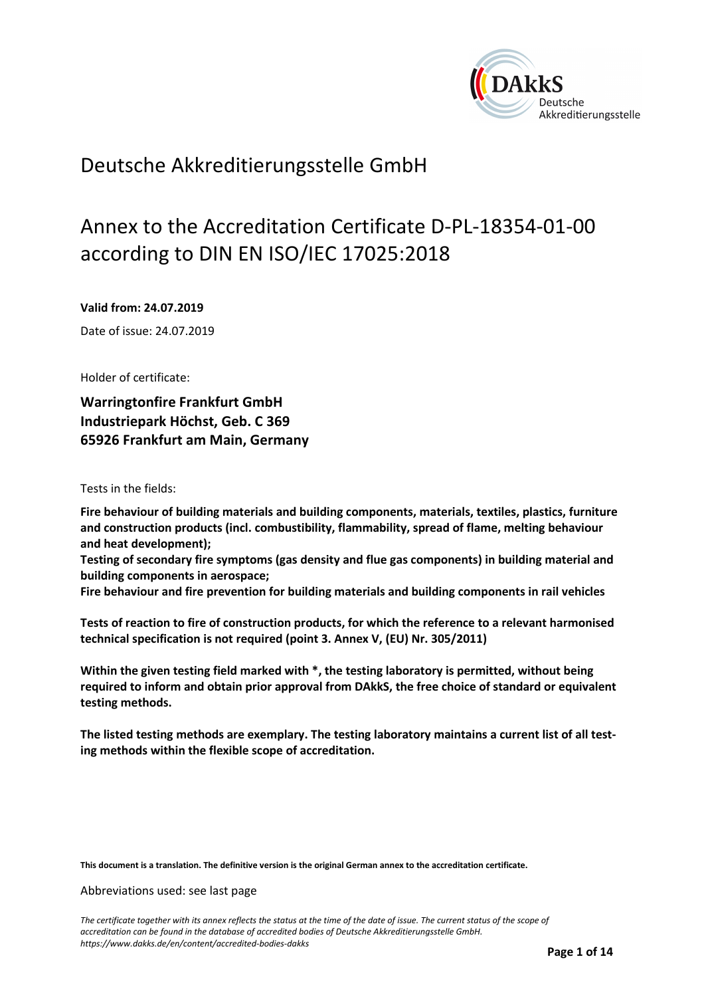

## Deutsche Akkreditierungsstelle GmbH

# Annex to the Accreditation Certificate D-PL-18354-01-00 according to DIN EN ISO/IEC 17025:2018

**Valid from: 24.07.2019** 

Date of issue: 24.07.2019

Holder of certificate:

**Warringtonfire Frankfurt GmbH Industriepark Höchst, Geb. C 369 65926 Frankfurt am Main, Germany** 

Tests in the fields:

**Fire behaviour of building materials and building components, materials, textiles, plastics, furniture and construction products (incl. combustibility, flammability, spread of flame, melting behaviour and heat development);** 

**Testing of secondary fire symptoms (gas density and flue gas components) in building material and building components in aerospace;** 

**Fire behaviour and fire prevention for building materials and building components in rail vehicles** 

**Tests of reaction to fire of construction products, for which the reference to a relevant harmonised technical specification is not required (point 3. Annex V, (EU) Nr. 305/2011)** 

**Within the given testing field marked with \*, the testing laboratory is permitted, without being required to inform and obtain prior approval from DAkkS, the free choice of standard or equivalent testing methods.** 

**The listed testing methods are exemplary. The testing laboratory maintains a current list of all testing methods within the flexible scope of accreditation.**

**This document is a translation. The definitive version is the original German annex to the accreditation certificate.**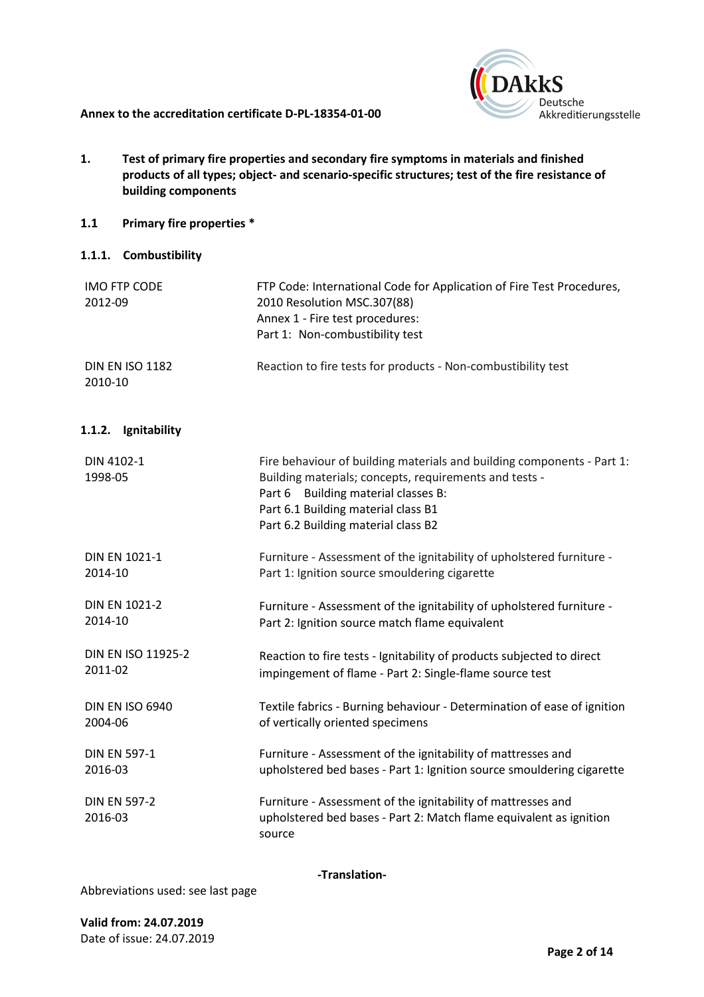

- **1. Test of primary fire properties and secondary fire symptoms in materials and finished products of all types; object- and scenario-specific structures; test of the fire resistance of building components**
- **1.1 Primary fire properties \***
- **1.1.1. Combustibility**

| IMO FTP CODE<br>2012-09           | FTP Code: International Code for Application of Fire Test Procedures,<br>2010 Resolution MSC.307(88)<br>Annex 1 - Fire test procedures:<br>Part 1: Non-combustibility test |
|-----------------------------------|----------------------------------------------------------------------------------------------------------------------------------------------------------------------------|
| <b>DIN EN ISO 1182</b><br>2010-10 | Reaction to fire tests for products - Non-combustibility test                                                                                                              |

#### **1.1.2. Ignitability**

| DIN 4102-1<br>1998-05          | Fire behaviour of building materials and building components - Part 1:<br>Building materials; concepts, requirements and tests -<br>Part 6 Building material classes B:<br>Part 6.1 Building material class B1<br>Part 6.2 Building material class B2 |
|--------------------------------|-------------------------------------------------------------------------------------------------------------------------------------------------------------------------------------------------------------------------------------------------------|
| DIN EN 1021-1                  | Furniture - Assessment of the ignitability of upholstered furniture -                                                                                                                                                                                 |
| 2014-10                        | Part 1: Ignition source smouldering cigarette                                                                                                                                                                                                         |
| DIN EN 1021-2                  | Furniture - Assessment of the ignitability of upholstered furniture -                                                                                                                                                                                 |
| 2014-10                        | Part 2: Ignition source match flame equivalent                                                                                                                                                                                                        |
| <b>DIN EN ISO 11925-2</b>      | Reaction to fire tests - Ignitability of products subjected to direct                                                                                                                                                                                 |
| 2011-02                        | impingement of flame - Part 2: Single-flame source test                                                                                                                                                                                               |
| <b>DIN EN ISO 6940</b>         | Textile fabrics - Burning behaviour - Determination of ease of ignition                                                                                                                                                                               |
| 2004-06                        | of vertically oriented specimens                                                                                                                                                                                                                      |
| <b>DIN EN 597-1</b>            | Furniture - Assessment of the ignitability of mattresses and                                                                                                                                                                                          |
| 2016-03                        | upholstered bed bases - Part 1: Ignition source smouldering cigarette                                                                                                                                                                                 |
| <b>DIN EN 597-2</b><br>2016-03 | Furniture - Assessment of the ignitability of mattresses and<br>upholstered bed bases - Part 2: Match flame equivalent as ignition<br>source                                                                                                          |

**-Translation-**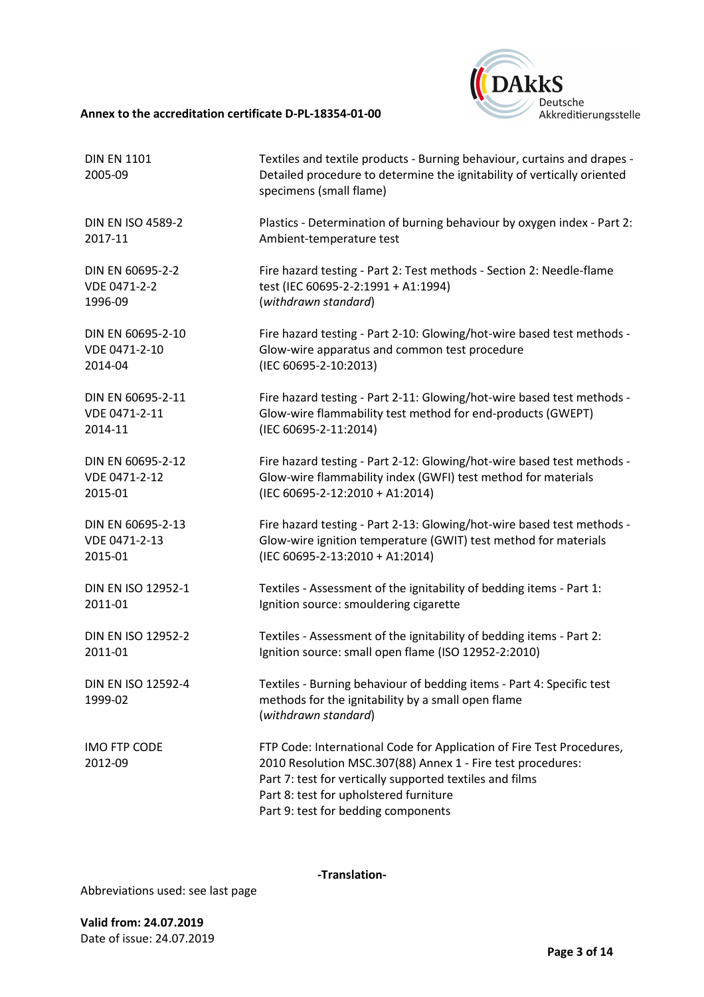

| <b>DIN EN 1101</b><br>2005-09  | Textiles and textile products - Burning behaviour, curtains and drapes -<br>Detailed procedure to determine the ignitability of vertically oriented<br>specimens (small flame)                                                                                                    |
|--------------------------------|-----------------------------------------------------------------------------------------------------------------------------------------------------------------------------------------------------------------------------------------------------------------------------------|
| <b>DIN EN ISO 4589-2</b>       | Plastics - Determination of burning behaviour by oxygen index - Part 2:                                                                                                                                                                                                           |
| 2017-11                        | Ambient-temperature test                                                                                                                                                                                                                                                          |
| DIN EN 60695-2-2               | Fire hazard testing - Part 2: Test methods - Section 2: Needle-flame                                                                                                                                                                                                              |
| VDE 0471-2-2                   | test (IEC 60695-2-2:1991 + A1:1994)                                                                                                                                                                                                                                               |
| 1996-09                        | (withdrawn standard)                                                                                                                                                                                                                                                              |
| DIN EN 60695-2-10              | Fire hazard testing - Part 2-10: Glowing/hot-wire based test methods -                                                                                                                                                                                                            |
| VDE 0471-2-10                  | Glow-wire apparatus and common test procedure                                                                                                                                                                                                                                     |
| 2014-04                        | (IEC 60695-2-10:2013)                                                                                                                                                                                                                                                             |
| DIN EN 60695-2-11              | Fire hazard testing - Part 2-11: Glowing/hot-wire based test methods -                                                                                                                                                                                                            |
| VDE 0471-2-11                  | Glow-wire flammability test method for end-products (GWEPT)                                                                                                                                                                                                                       |
| 2014-11                        | (IEC 60695-2-11:2014)                                                                                                                                                                                                                                                             |
| DIN EN 60695-2-12              | Fire hazard testing - Part 2-12: Glowing/hot-wire based test methods -                                                                                                                                                                                                            |
| VDE 0471-2-12                  | Glow-wire flammability index (GWFI) test method for materials                                                                                                                                                                                                                     |
| 2015-01                        | (IEC 60695-2-12:2010 + A1:2014)                                                                                                                                                                                                                                                   |
| DIN EN 60695-2-13              | Fire hazard testing - Part 2-13: Glowing/hot-wire based test methods -                                                                                                                                                                                                            |
| VDE 0471-2-13                  | Glow-wire ignition temperature (GWIT) test method for materials                                                                                                                                                                                                                   |
| 2015-01                        | (IEC 60695-2-13:2010 + A1:2014)                                                                                                                                                                                                                                                   |
| DIN EN ISO 12952-1             | Textiles - Assessment of the ignitability of bedding items - Part 1:                                                                                                                                                                                                              |
| 2011-01                        | Ignition source: smouldering cigarette                                                                                                                                                                                                                                            |
| <b>DIN EN ISO 12952-2</b>      | Textiles - Assessment of the ignitability of bedding items - Part 2:                                                                                                                                                                                                              |
| 2011-01                        | Ignition source: small open flame (ISO 12952-2:2010)                                                                                                                                                                                                                              |
| DIN EN ISO 12592-4<br>1999-02  | Textiles - Burning behaviour of bedding items - Part 4: Specific test<br>methods for the ignitability by a small open flame<br>(withdrawn standard)                                                                                                                               |
| <b>IMO FTP CODE</b><br>2012-09 | FTP Code: International Code for Application of Fire Test Procedures,<br>2010 Resolution MSC.307(88) Annex 1 - Fire test procedures:<br>Part 7: test for vertically supported textiles and films<br>Part 8: test for upholstered furniture<br>Part 9: test for bedding components |

**-Translation-**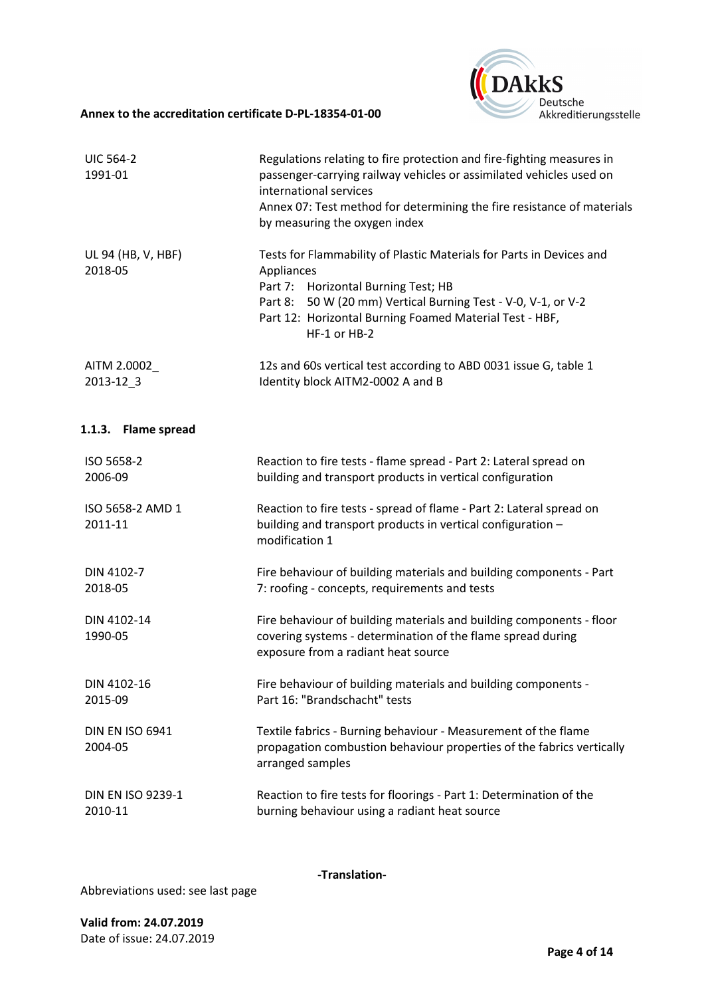

| <b>UIC 564-2</b><br>1991-01       | Regulations relating to fire protection and fire-fighting measures in<br>passenger-carrying railway vehicles or assimilated vehicles used on<br>international services<br>Annex 07: Test method for determining the fire resistance of materials<br>by measuring the oxygen index |
|-----------------------------------|-----------------------------------------------------------------------------------------------------------------------------------------------------------------------------------------------------------------------------------------------------------------------------------|
| UL 94 (HB, V, HBF)<br>2018-05     | Tests for Flammability of Plastic Materials for Parts in Devices and<br>Appliances<br>Part 7: Horizontal Burning Test; HB<br>Part 8: 50 W (20 mm) Vertical Burning Test - V-0, V-1, or V-2<br>Part 12: Horizontal Burning Foamed Material Test - HBF,<br>HF-1 or HB-2             |
| AITM 2.0002<br>2013-12_3          | 12s and 60s vertical test according to ABD 0031 issue G, table 1<br>Identity block AITM2-0002 A and B                                                                                                                                                                             |
| 1.1.3. Flame spread               |                                                                                                                                                                                                                                                                                   |
| ISO 5658-2<br>2006-09             | Reaction to fire tests - flame spread - Part 2: Lateral spread on<br>building and transport products in vertical configuration                                                                                                                                                    |
| ISO 5658-2 AMD 1<br>2011-11       | Reaction to fire tests - spread of flame - Part 2: Lateral spread on<br>building and transport products in vertical configuration -<br>modification 1                                                                                                                             |
| DIN 4102-7<br>2018-05             | Fire behaviour of building materials and building components - Part<br>7: roofing - concepts, requirements and tests                                                                                                                                                              |
| DIN 4102-14<br>1990-05            | Fire behaviour of building materials and building components - floor<br>covering systems - determination of the flame spread during<br>exposure from a radiant heat source                                                                                                        |
| DIN 4102-16<br>2015-09            | Fire behaviour of building materials and building components -<br>Part 16: "Brandschacht" tests                                                                                                                                                                                   |
| <b>DIN EN ISO 6941</b><br>2004-05 | Textile fabrics - Burning behaviour - Measurement of the flame<br>propagation combustion behaviour properties of the fabrics vertically<br>arranged samples                                                                                                                       |
| DIN EN ISO 9239-1<br>2010-11      | Reaction to fire tests for floorings - Part 1: Determination of the<br>burning behaviour using a radiant heat source                                                                                                                                                              |

**-Translation-**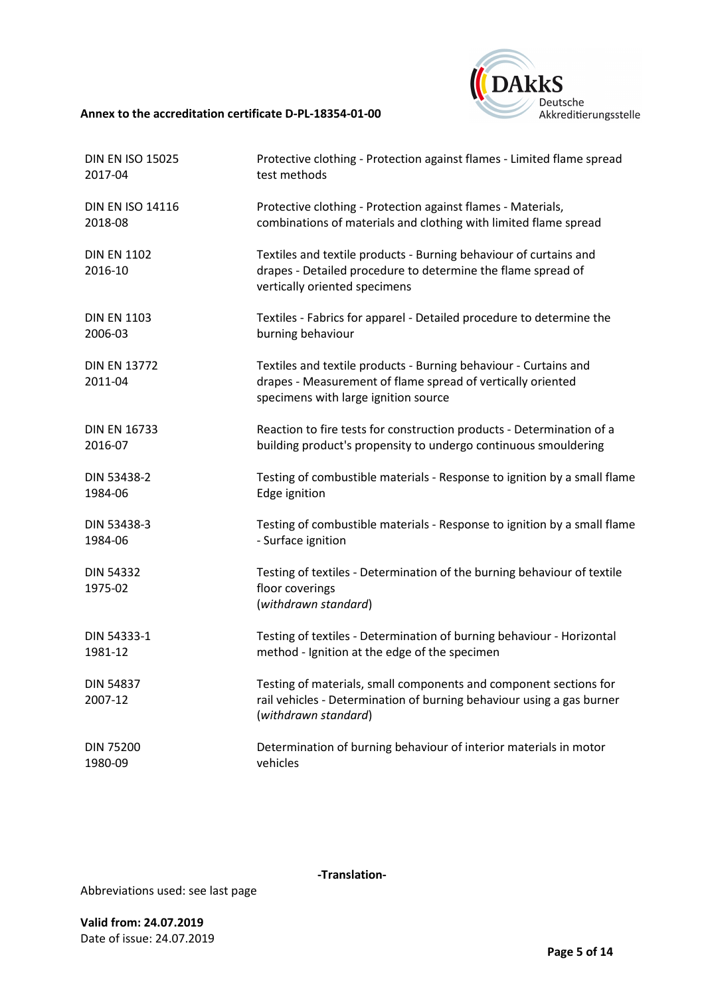

| <b>DIN EN ISO 15025</b>        | Protective clothing - Protection against flames - Limited flame spread                                                                                                  |
|--------------------------------|-------------------------------------------------------------------------------------------------------------------------------------------------------------------------|
| 2017-04                        | test methods                                                                                                                                                            |
| <b>DIN EN ISO 14116</b>        | Protective clothing - Protection against flames - Materials,                                                                                                            |
| 2018-08                        | combinations of materials and clothing with limited flame spread                                                                                                        |
| <b>DIN EN 1102</b><br>2016-10  | Textiles and textile products - Burning behaviour of curtains and<br>drapes - Detailed procedure to determine the flame spread of<br>vertically oriented specimens      |
| <b>DIN EN 1103</b>             | Textiles - Fabrics for apparel - Detailed procedure to determine the                                                                                                    |
| 2006-03                        | burning behaviour                                                                                                                                                       |
| <b>DIN EN 13772</b><br>2011-04 | Textiles and textile products - Burning behaviour - Curtains and<br>drapes - Measurement of flame spread of vertically oriented<br>specimens with large ignition source |
| <b>DIN EN 16733</b>            | Reaction to fire tests for construction products - Determination of a                                                                                                   |
| 2016-07                        | building product's propensity to undergo continuous smouldering                                                                                                         |
| DIN 53438-2                    | Testing of combustible materials - Response to ignition by a small flame                                                                                                |
| 1984-06                        | Edge ignition                                                                                                                                                           |
| DIN 53438-3                    | Testing of combustible materials - Response to ignition by a small flame                                                                                                |
| 1984-06                        | - Surface ignition                                                                                                                                                      |
| <b>DIN 54332</b><br>1975-02    | Testing of textiles - Determination of the burning behaviour of textile<br>floor coverings<br>(withdrawn standard)                                                      |
| DIN 54333-1                    | Testing of textiles - Determination of burning behaviour - Horizontal                                                                                                   |
| 1981-12                        | method - Ignition at the edge of the specimen                                                                                                                           |
| <b>DIN 54837</b><br>2007-12    | Testing of materials, small components and component sections for<br>rail vehicles - Determination of burning behaviour using a gas burner<br>(withdrawn standard)      |
| DIN 75200                      | Determination of burning behaviour of interior materials in motor                                                                                                       |
| 1980-09                        | vehicles                                                                                                                                                                |

**-Translation-**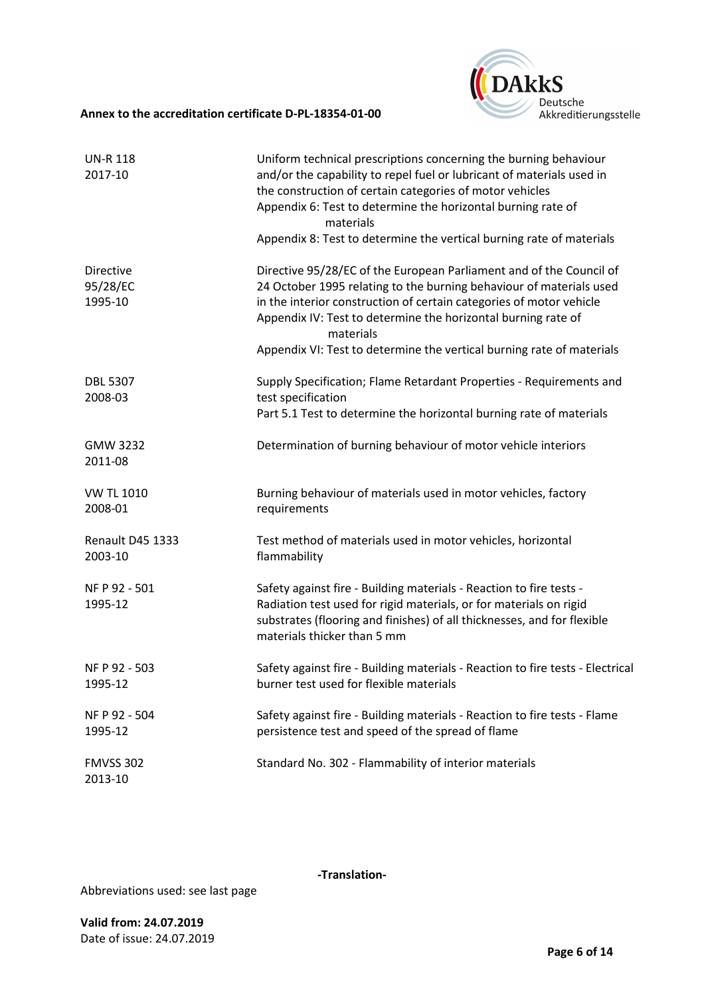

| <b>UN-R 118</b><br>2017-10              | Uniform technical prescriptions concerning the burning behaviour<br>and/or the capability to repel fuel or lubricant of materials used in<br>the construction of certain categories of motor vehicles<br>Appendix 6: Test to determine the horizontal burning rate of<br>materials<br>Appendix 8: Test to determine the vertical burning rate of materials               |
|-----------------------------------------|--------------------------------------------------------------------------------------------------------------------------------------------------------------------------------------------------------------------------------------------------------------------------------------------------------------------------------------------------------------------------|
| <b>Directive</b><br>95/28/EC<br>1995-10 | Directive 95/28/EC of the European Parliament and of the Council of<br>24 October 1995 relating to the burning behaviour of materials used<br>in the interior construction of certain categories of motor vehicle<br>Appendix IV: Test to determine the horizontal burning rate of<br>materials<br>Appendix VI: Test to determine the vertical burning rate of materials |
| <b>DBL 5307</b><br>2008-03              | Supply Specification; Flame Retardant Properties - Requirements and<br>test specification<br>Part 5.1 Test to determine the horizontal burning rate of materials                                                                                                                                                                                                         |
| <b>GMW 3232</b><br>2011-08              | Determination of burning behaviour of motor vehicle interiors                                                                                                                                                                                                                                                                                                            |
| <b>VW TL 1010</b><br>2008-01            | Burning behaviour of materials used in motor vehicles, factory<br>requirements                                                                                                                                                                                                                                                                                           |
| Renault D45 1333<br>2003-10             | Test method of materials used in motor vehicles, horizontal<br>flammability                                                                                                                                                                                                                                                                                              |
| NF P 92 - 501<br>1995-12                | Safety against fire - Building materials - Reaction to fire tests -<br>Radiation test used for rigid materials, or for materials on rigid<br>substrates (flooring and finishes) of all thicknesses, and for flexible<br>materials thicker than 5 mm                                                                                                                      |
| NF P 92 - 503<br>1995-12                | Safety against fire - Building materials - Reaction to fire tests - Electrical<br>burner test used for flexible materials                                                                                                                                                                                                                                                |
| NF P 92 - 504<br>1995-12                | Safety against fire - Building materials - Reaction to fire tests - Flame<br>persistence test and speed of the spread of flame                                                                                                                                                                                                                                           |
| <b>FMVSS 302</b><br>2013-10             | Standard No. 302 - Flammability of interior materials                                                                                                                                                                                                                                                                                                                    |

**-Translation-**

Abbreviations used: see last page

**Valid from: 24.07.2019**  Date of issue: 24.07.2019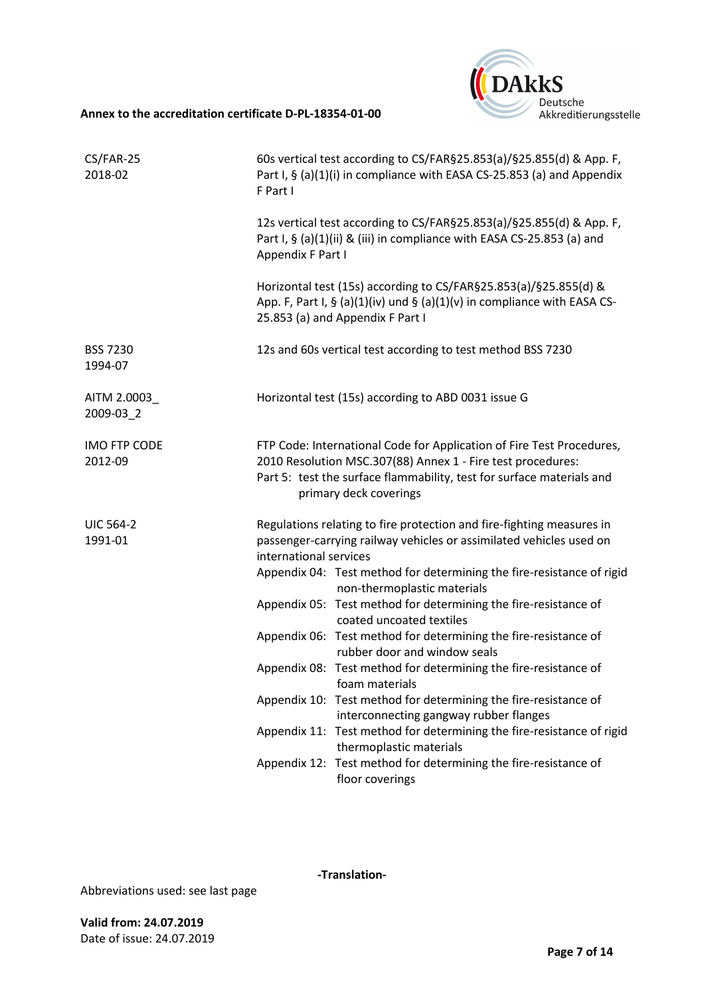

| CS/FAR-25<br>2018-02           | 60s vertical test according to CS/FAR§25.853(a)/§25.855(d) & App. F,<br>Part I, § (a)(1)(i) in compliance with EASA CS-25.853 (a) and Appendix<br>F Part I                                                                                                                                                                                                                                                                                                                                                                                                                                                                                                                                                                                                                                                                                                                   |
|--------------------------------|------------------------------------------------------------------------------------------------------------------------------------------------------------------------------------------------------------------------------------------------------------------------------------------------------------------------------------------------------------------------------------------------------------------------------------------------------------------------------------------------------------------------------------------------------------------------------------------------------------------------------------------------------------------------------------------------------------------------------------------------------------------------------------------------------------------------------------------------------------------------------|
|                                | 12s vertical test according to CS/FAR§25.853(a)/§25.855(d) & App. F,<br>Part I, $\frac{1}{2}$ (a)(1)(ii) & (iii) in compliance with EASA CS-25.853 (a) and<br>Appendix F Part I                                                                                                                                                                                                                                                                                                                                                                                                                                                                                                                                                                                                                                                                                              |
|                                | Horizontal test (15s) according to CS/FAR§25.853(a)/§25.855(d) &<br>App. F, Part I, § (a)(1)(iv) und § (a)(1)(v) in compliance with EASA CS-<br>25.853 (a) and Appendix F Part I                                                                                                                                                                                                                                                                                                                                                                                                                                                                                                                                                                                                                                                                                             |
| <b>BSS 7230</b><br>1994-07     | 12s and 60s vertical test according to test method BSS 7230                                                                                                                                                                                                                                                                                                                                                                                                                                                                                                                                                                                                                                                                                                                                                                                                                  |
| AITM 2.0003<br>2009-03 2       | Horizontal test (15s) according to ABD 0031 issue G                                                                                                                                                                                                                                                                                                                                                                                                                                                                                                                                                                                                                                                                                                                                                                                                                          |
| <b>IMO FTP CODE</b><br>2012-09 | FTP Code: International Code for Application of Fire Test Procedures,<br>2010 Resolution MSC.307(88) Annex 1 - Fire test procedures:<br>Part 5: test the surface flammability, test for surface materials and<br>primary deck coverings                                                                                                                                                                                                                                                                                                                                                                                                                                                                                                                                                                                                                                      |
| <b>UIC 564-2</b><br>1991-01    | Regulations relating to fire protection and fire-fighting measures in<br>passenger-carrying railway vehicles or assimilated vehicles used on<br>international services<br>Appendix 04: Test method for determining the fire-resistance of rigid<br>non-thermoplastic materials<br>Appendix 05: Test method for determining the fire-resistance of<br>coated uncoated textiles<br>Appendix 06: Test method for determining the fire-resistance of<br>rubber door and window seals<br>Appendix 08: Test method for determining the fire-resistance of<br>foam materials<br>Appendix 10: Test method for determining the fire-resistance of<br>interconnecting gangway rubber flanges<br>Appendix 11: Test method for determining the fire-resistance of rigid<br>thermoplastic materials<br>Appendix 12: Test method for determining the fire-resistance of<br>floor coverings |

**-Translation-**

Abbreviations used: see last page

**Valid from: 24.07.2019**  Date of issue: 24.07.2019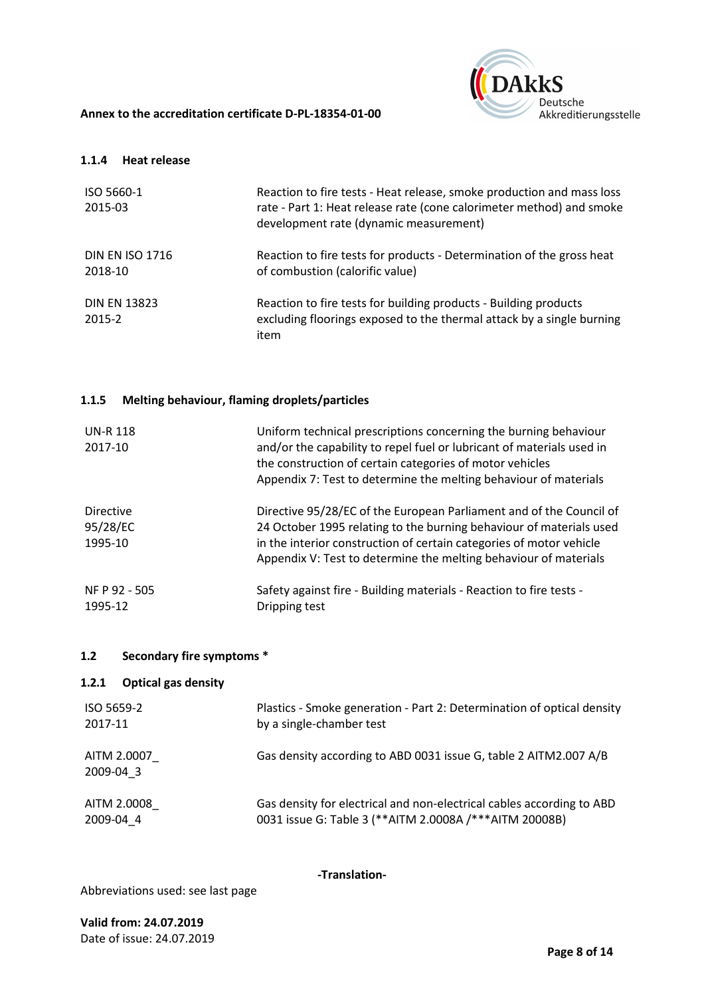

#### **1.1.4 Heat release**

| ISO 5660-1<br>2015-03             | Reaction to fire tests - Heat release, smoke production and mass loss<br>rate - Part 1: Heat release rate (cone calorimeter method) and smoke<br>development rate (dynamic measurement) |
|-----------------------------------|-----------------------------------------------------------------------------------------------------------------------------------------------------------------------------------------|
| <b>DIN EN ISO 1716</b><br>2018-10 | Reaction to fire tests for products - Determination of the gross heat<br>of combustion (calorific value)                                                                                |
| <b>DIN EN 13823</b><br>2015-2     | Reaction to fire tests for building products - Building products<br>excluding floorings exposed to the thermal attack by a single burning<br>item                                       |

## **1.1.5 Melting behaviour, flaming droplets/particles**

| <b>UN-R 118</b><br>2017-10       | Uniform technical prescriptions concerning the burning behaviour<br>and/or the capability to repel fuel or lubricant of materials used in<br>the construction of certain categories of motor vehicles<br>Appendix 7: Test to determine the melting behaviour of materials             |
|----------------------------------|---------------------------------------------------------------------------------------------------------------------------------------------------------------------------------------------------------------------------------------------------------------------------------------|
| Directive<br>95/28/EC<br>1995-10 | Directive 95/28/EC of the European Parliament and of the Council of<br>24 October 1995 relating to the burning behaviour of materials used<br>in the interior construction of certain categories of motor vehicle<br>Appendix V: Test to determine the melting behaviour of materials |
| NF P 92 - 505<br>1995-12         | Safety against fire - Building materials - Reaction to fire tests -<br>Dripping test                                                                                                                                                                                                  |

## **1.2 Secondary fire symptoms \***

## **1.2.1 Optical gas density**

| ISO 5659-2               | Plastics - Smoke generation - Part 2: Determination of optical density |
|--------------------------|------------------------------------------------------------------------|
| 2017-11                  | by a single-chamber test                                               |
| AITM 2.0007<br>2009-04 3 | Gas density according to ABD 0031 issue G, table 2 AITM2.007 A/B       |
| AITM 2.0008              | Gas density for electrical and non-electrical cables according to ABD  |
| 2009-04 4                | 0031 issue G: Table 3 (**AITM 2.0008A /***AITM 20008B)                 |

**-Translation-**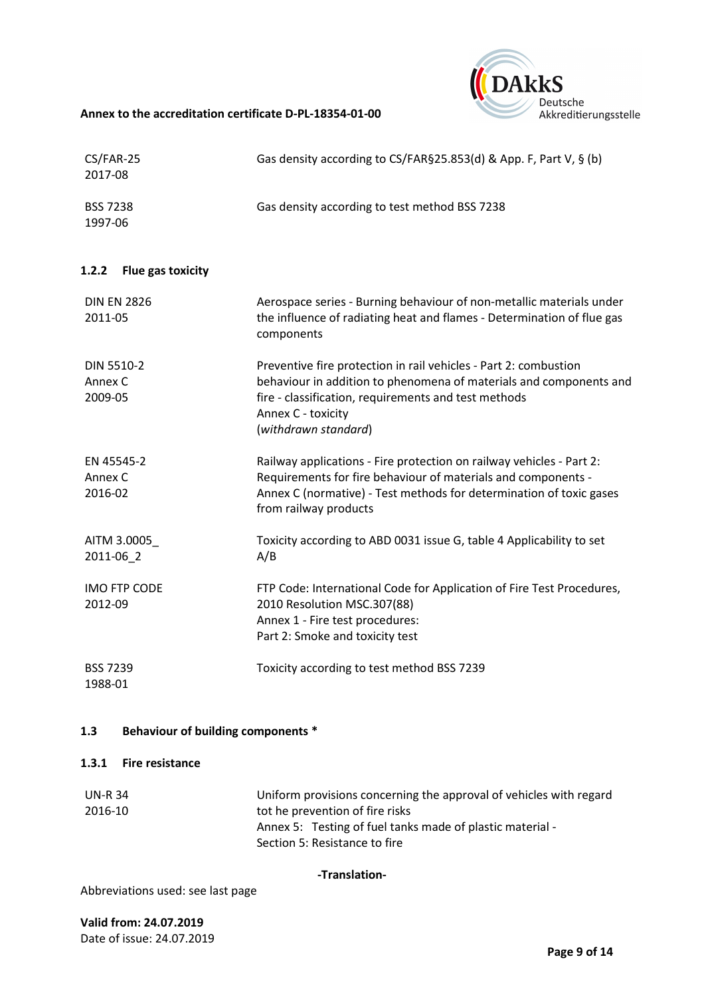

| CS/FAR-25<br>2017-08             | Gas density according to CS/FAR§25.853(d) & App. F, Part V, § (b)                                                                                                                                                                            |
|----------------------------------|----------------------------------------------------------------------------------------------------------------------------------------------------------------------------------------------------------------------------------------------|
| <b>BSS 7238</b><br>1997-06       | Gas density according to test method BSS 7238                                                                                                                                                                                                |
| 1.2.2<br>Flue gas toxicity       |                                                                                                                                                                                                                                              |
| <b>DIN EN 2826</b><br>2011-05    | Aerospace series - Burning behaviour of non-metallic materials under<br>the influence of radiating heat and flames - Determination of flue gas<br>components                                                                                 |
| DIN 5510-2<br>Annex C<br>2009-05 | Preventive fire protection in rail vehicles - Part 2: combustion<br>behaviour in addition to phenomena of materials and components and<br>fire - classification, requirements and test methods<br>Annex C - toxicity<br>(withdrawn standard) |
| EN 45545-2<br>Annex C<br>2016-02 | Railway applications - Fire protection on railway vehicles - Part 2:<br>Requirements for fire behaviour of materials and components -<br>Annex C (normative) - Test methods for determination of toxic gases<br>from railway products        |
| AITM 3.0005<br>2011-06 2         | Toxicity according to ABD 0031 issue G, table 4 Applicability to set<br>A/B                                                                                                                                                                  |
| <b>IMO FTP CODE</b><br>2012-09   | FTP Code: International Code for Application of Fire Test Procedures,<br>2010 Resolution MSC.307(88)<br>Annex 1 - Fire test procedures:<br>Part 2: Smoke and toxicity test                                                                   |
| <b>BSS 7239</b><br>1988-01       | Toxicity according to test method BSS 7239                                                                                                                                                                                                   |

## **1.3 Behaviour of building components \***

## **1.3.1 Fire resistance**

| UN-R 34 | Uniform provisions concerning the approval of vehicles with regard |
|---------|--------------------------------------------------------------------|
| 2016-10 | tot he prevention of fire risks                                    |
|         | Annex 5: Testing of fuel tanks made of plastic material -          |
|         | Section 5: Resistance to fire                                      |

## **-Translation-**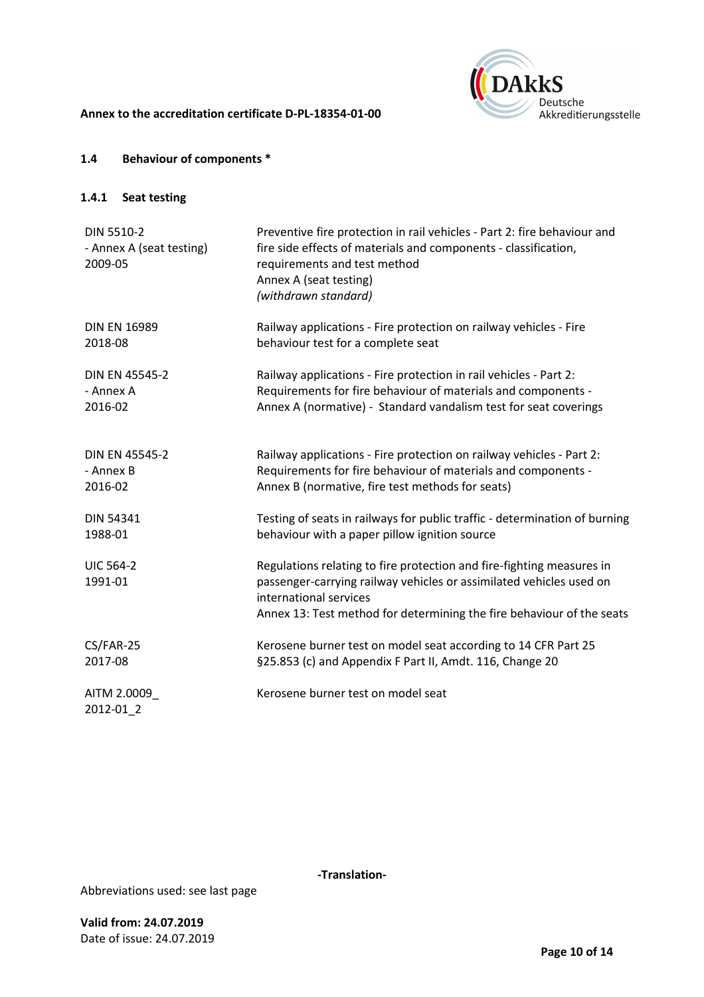



## **1.4 Behaviour of components \***

## **1.4.1 Seat testing**

| DIN 5510-2<br>- Annex A (seat testing)<br>2009-05 | Preventive fire protection in rail vehicles - Part 2: fire behaviour and<br>fire side effects of materials and components - classification,<br>requirements and test method<br>Annex A (seat testing)<br>(withdrawn standard)                   |
|---------------------------------------------------|-------------------------------------------------------------------------------------------------------------------------------------------------------------------------------------------------------------------------------------------------|
| <b>DIN EN 16989</b>                               | Railway applications - Fire protection on railway vehicles - Fire                                                                                                                                                                               |
| 2018-08                                           | behaviour test for a complete seat                                                                                                                                                                                                              |
| DIN EN 45545-2                                    | Railway applications - Fire protection in rail vehicles - Part 2:                                                                                                                                                                               |
| - Annex A                                         | Requirements for fire behaviour of materials and components -                                                                                                                                                                                   |
| 2016-02                                           | Annex A (normative) - Standard vandalism test for seat coverings                                                                                                                                                                                |
| DIN EN 45545-2                                    | Railway applications - Fire protection on railway vehicles - Part 2:                                                                                                                                                                            |
| - Annex B                                         | Requirements for fire behaviour of materials and components -                                                                                                                                                                                   |
| 2016-02                                           | Annex B (normative, fire test methods for seats)                                                                                                                                                                                                |
| <b>DIN 54341</b>                                  | Testing of seats in railways for public traffic - determination of burning                                                                                                                                                                      |
| 1988-01                                           | behaviour with a paper pillow ignition source                                                                                                                                                                                                   |
| <b>UIC 564-2</b><br>1991-01                       | Regulations relating to fire protection and fire-fighting measures in<br>passenger-carrying railway vehicles or assimilated vehicles used on<br>international services<br>Annex 13: Test method for determining the fire behaviour of the seats |
| CS/FAR-25                                         | Kerosene burner test on model seat according to 14 CFR Part 25                                                                                                                                                                                  |
| 2017-08                                           | §25.853 (c) and Appendix F Part II, Amdt. 116, Change 20                                                                                                                                                                                        |
| AITM 2.0009<br>2012-01 2                          | Kerosene burner test on model seat                                                                                                                                                                                                              |

**-Translation-**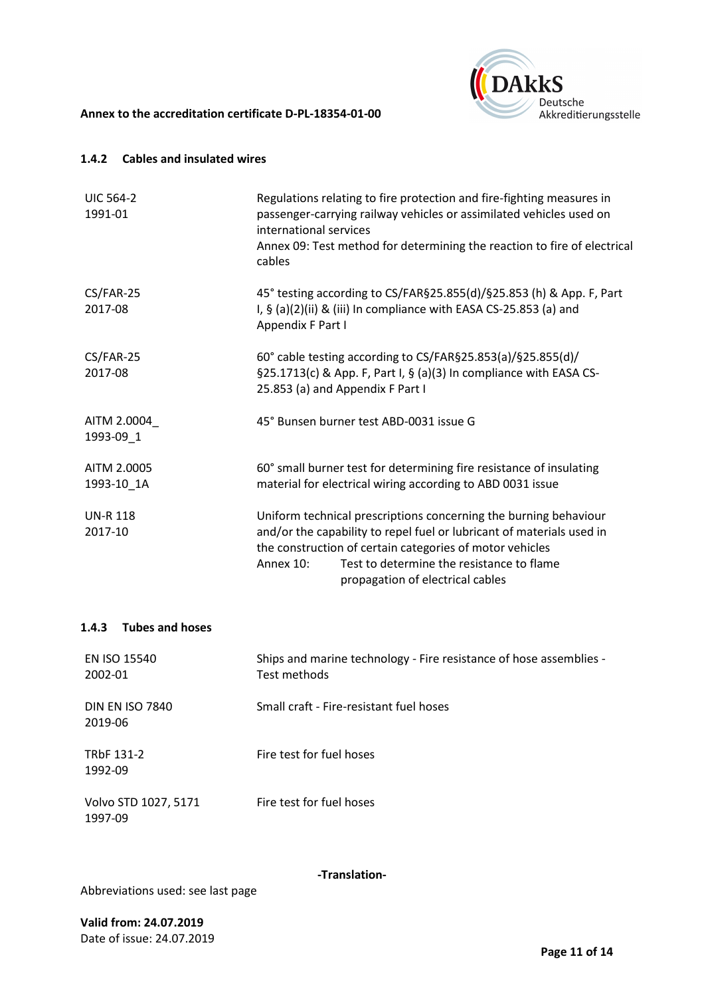

## **1.4.2 Cables and insulated wires**

| <b>UIC 564-2</b><br>1991-01 | Regulations relating to fire protection and fire-fighting measures in<br>passenger-carrying railway vehicles or assimilated vehicles used on<br>international services<br>Annex 09: Test method for determining the reaction to fire of electrical<br>cables                                        |
|-----------------------------|-----------------------------------------------------------------------------------------------------------------------------------------------------------------------------------------------------------------------------------------------------------------------------------------------------|
| $CS/FAR-25$<br>2017-08      | 45° testing according to CS/FAR§25.855(d)/§25.853 (h) & App. F, Part<br>I, § (a)(2)(ii) & (iii) In compliance with EASA CS-25.853 (a) and<br>Appendix F Part I                                                                                                                                      |
| $CS/FAR-25$<br>2017-08      | 60° cable testing according to CS/FAR§25.853(a)/§25.855(d)/<br>$\S$ 25.1713(c) & App. F, Part I, § (a)(3) In compliance with EASA CS-<br>25.853 (a) and Appendix F Part I                                                                                                                           |
| AITM 2.0004<br>1993-09_1    | 45° Bunsen burner test ABD-0031 issue G                                                                                                                                                                                                                                                             |
| AITM 2.0005<br>1993-10_1A   | 60° small burner test for determining fire resistance of insulating<br>material for electrical wiring according to ABD 0031 issue                                                                                                                                                                   |
| <b>UN-R 118</b><br>2017-10  | Uniform technical prescriptions concerning the burning behaviour<br>and/or the capability to repel fuel or lubricant of materials used in<br>the construction of certain categories of motor vehicles<br>Test to determine the resistance to flame<br>Annex 10:<br>propagation of electrical cables |

## **1.4.3 Tubes and hoses**

| EN ISO 15540<br>2002-01           | Ships and marine technology - Fire resistance of hose assemblies -<br>Test methods |
|-----------------------------------|------------------------------------------------------------------------------------|
| <b>DIN EN ISO 7840</b><br>2019-06 | Small craft - Fire-resistant fuel hoses                                            |
| TRbF 131-2<br>1992-09             | Fire test for fuel hoses                                                           |
| Volvo STD 1027, 5171<br>1997-09   | Fire test for fuel hoses                                                           |

**-Translation-**

Abbreviations used: see last page

**Valid from: 24.07.2019**  Date of issue: 24.07.2019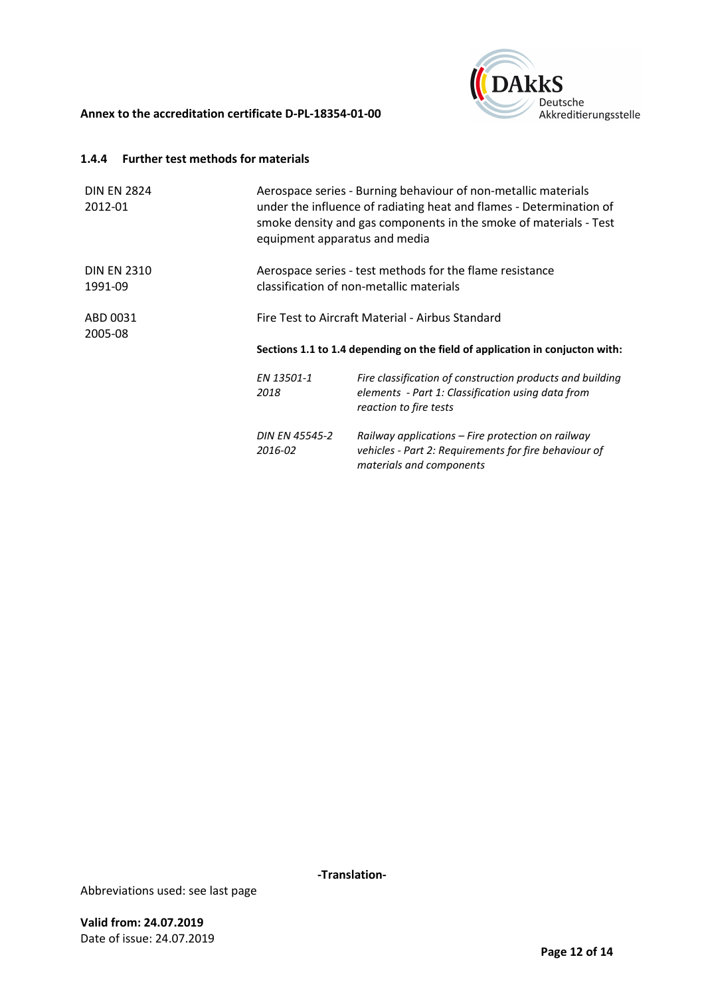



#### **1.4.4 Further test methods for materials**

| <b>DIN EN 2824</b><br>2012-01 | equipment apparatus and media    | Aerospace series - Burning behaviour of non-metallic materials<br>under the influence of radiating heat and flames - Determination of<br>smoke density and gas components in the smoke of materials - Test |  |
|-------------------------------|----------------------------------|------------------------------------------------------------------------------------------------------------------------------------------------------------------------------------------------------------|--|
| <b>DIN EN 2310</b><br>1991-09 |                                  | Aerospace series - test methods for the flame resistance<br>classification of non-metallic materials                                                                                                       |  |
| ABD 0031<br>2005-08           |                                  | Fire Test to Aircraft Material - Airbus Standard                                                                                                                                                           |  |
|                               |                                  | Sections 1.1 to 1.4 depending on the field of application in conjucton with:                                                                                                                               |  |
|                               | EN 13501-1<br>2018               | Fire classification of construction products and building<br>elements - Part 1: Classification using data from<br>reaction to fire tests                                                                   |  |
|                               | <b>DIN EN 45545-2</b><br>2016-02 | Railway applications - Fire protection on railway<br>vehicles - Part 2: Requirements for fire behaviour of<br>materials and components                                                                     |  |

**-Translation-**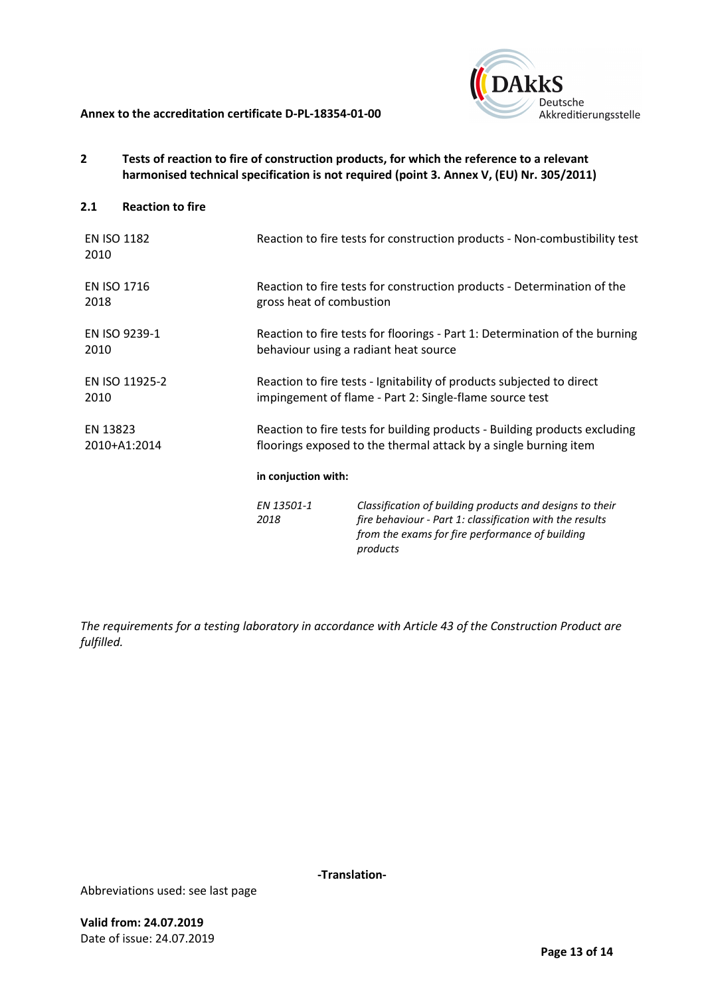

**2 Tests of reaction to fire of construction products, for which the reference to a relevant harmonised technical specification is not required (point 3. Annex V, (EU) Nr. 305/2011)** 

## **2.1 Reaction to fire**

| <b>EN ISO 1182</b><br>2010 | Reaction to fire tests for construction products - Non-combustibility test  |                                                                                                                                                                                     |  |
|----------------------------|-----------------------------------------------------------------------------|-------------------------------------------------------------------------------------------------------------------------------------------------------------------------------------|--|
| <b>EN ISO 1716</b>         | Reaction to fire tests for construction products - Determination of the     |                                                                                                                                                                                     |  |
| 2018                       | gross heat of combustion                                                    |                                                                                                                                                                                     |  |
| EN ISO 9239-1              | Reaction to fire tests for floorings - Part 1: Determination of the burning |                                                                                                                                                                                     |  |
| 2010                       | behaviour using a radiant heat source                                       |                                                                                                                                                                                     |  |
| EN ISO 11925-2             | Reaction to fire tests - Ignitability of products subjected to direct       |                                                                                                                                                                                     |  |
| 2010                       | impingement of flame - Part 2: Single-flame source test                     |                                                                                                                                                                                     |  |
| EN 13823                   | Reaction to fire tests for building products - Building products excluding  |                                                                                                                                                                                     |  |
| 2010+A1:2014               | floorings exposed to the thermal attack by a single burning item            |                                                                                                                                                                                     |  |
|                            | in conjuction with:                                                         |                                                                                                                                                                                     |  |
|                            | EN 13501-1<br>2018                                                          | Classification of building products and designs to their<br>fire behaviour - Part 1: classification with the results<br>from the exams for fire performance of building<br>products |  |

*The requirements for a testing laboratory in accordance with Article 43 of the Construction Product are fulfilled.* 

**-Translation-**